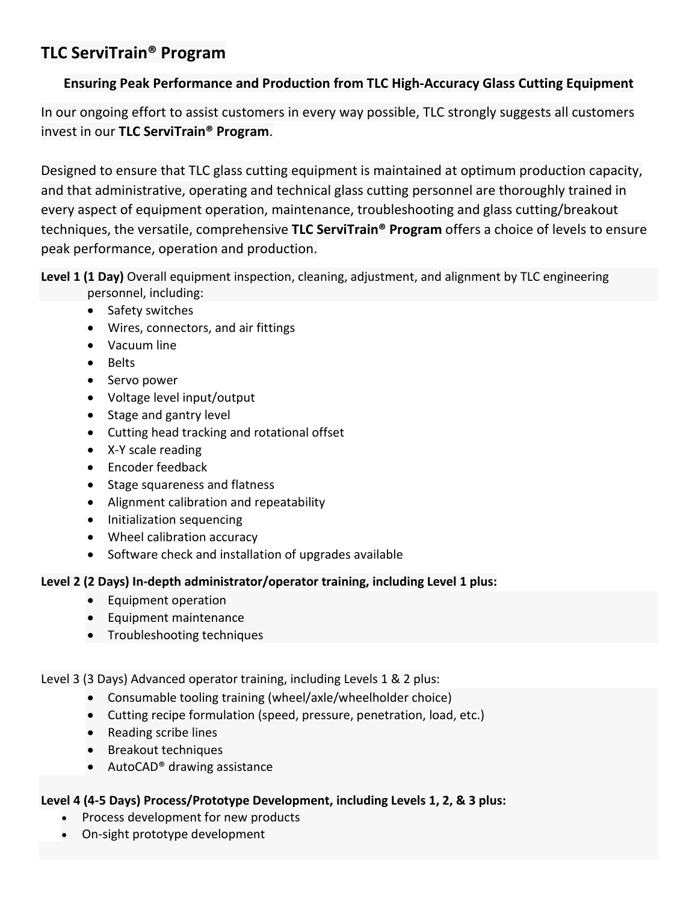# **TLC ServiTrain® Program**

## **Ensuring Peak Performance and Production from TLC High-Accuracy Glass Cutting Equipment**

In our ongoing effort to assist customers in every way possible, TLC strongly suggests all customers invest in our **TLC ServiTrain® Program**.

Designed to ensure that TLC glass cutting equipment is maintained at optimum production capacity, and that administrative, operating and technical glass cutting personnel are thoroughly trained in every aspect of equipment operation, maintenance, troubleshooting and glass cutting/breakout techniques, the versatile, comprehensive **TLC ServiTrain® Program** offers a choice of levels to ensure peak performance, operation and production.

**Level 1 (1 Day)** Overall equipment inspection, cleaning, adjustment, and alignment by TLC engineering personnel, including:

- Safety switches
- Wires, connectors, and air fittings
- Vacuum line
- Belts
- Servo power
- Voltage level input/output
- Stage and gantry level
- Cutting head tracking and rotational offset
- X-Y scale reading
- Encoder feedback
- Stage squareness and flatness
- Alignment calibration and repeatability
- Initialization sequencing
- Wheel calibration accuracy
- Software check and installation of upgrades available

#### **Level 2 (2 Days) In-depth administrator/operator training, including Level 1 plus:**

- Equipment operation
- Equipment maintenance
- Troubleshooting techniques

Level 3 (3 Days) Advanced operator training, including Levels 1 & 2 plus:

- Consumable tooling training (wheel/axle/wheelholder choice)
- Cutting recipe formulation (speed, pressure, penetration, load, etc.)
- Reading scribe lines
- Breakout techniques
- AutoCAD® drawing assistance

### **Level 4 (4-5 Days) Process/Prototype Development, including Levels 1, 2, & 3 plus:**

- Process development for new products
- On-sight prototype development